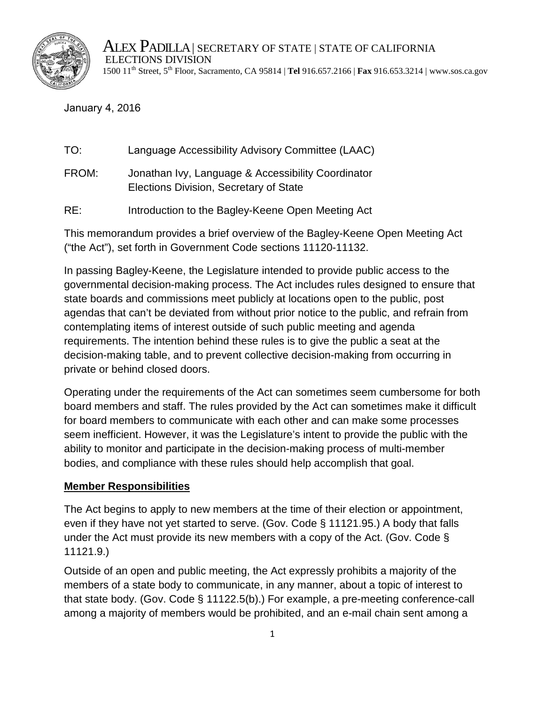

ALEX PADILLA | SECRETARY OF STATE | STATE OF CALIFORNIA ELECTIONS DIVISION 1500 11th Street, 5 th Floor, Sacramento, CA 95814 | **Tel** 916.657.2166 | **Fax** 916.653.3214 | www.sos.ca.gov

#### January 4, 2016

| TO:   | Language Accessibility Advisory Committee (LAAC)                                             |
|-------|----------------------------------------------------------------------------------------------|
| FROM: | Jonathan Ivy, Language & Accessibility Coordinator<br>Elections Division, Secretary of State |

RE: Introduction to the Bagley-Keene Open Meeting Act

This memorandum provides a brief overview of the Bagley-Keene Open Meeting Act ("the Act"), set forth in Government Code sections 11120-11132.

In passing Bagley-Keene, the Legislature intended to provide public access to the governmental decision-making process. The Act includes rules designed to ensure that state boards and commissions meet publicly at locations open to the public, post agendas that can't be deviated from without prior notice to the public, and refrain from contemplating items of interest outside of such public meeting and agenda requirements. The intention behind these rules is to give the public a seat at the decision-making table, and to prevent collective decision-making from occurring in private or behind closed doors.

Operating under the requirements of the Act can sometimes seem cumbersome for both board members and staff. The rules provided by the Act can sometimes make it difficult for board members to communicate with each other and can make some processes seem inefficient. However, it was the Legislature's intent to provide the public with the ability to monitor and participate in the decision-making process of multi-member bodies, and compliance with these rules should help accomplish that goal.

#### **Member Responsibilities**

The Act begins to apply to new members at the time of their election or appointment, even if they have not yet started to serve. (Gov. Code § 11121.95.) A body that falls under the Act must provide its new members with a copy of the Act. (Gov. Code § 11121.9.)

Outside of an open and public meeting, the Act expressly prohibits a majority of the members of a state body to communicate, in any manner, about a topic of interest to that state body. (Gov. Code § 11122.5(b).) For example, a pre-meeting conference-call among a majority of members would be prohibited, and an e-mail chain sent among a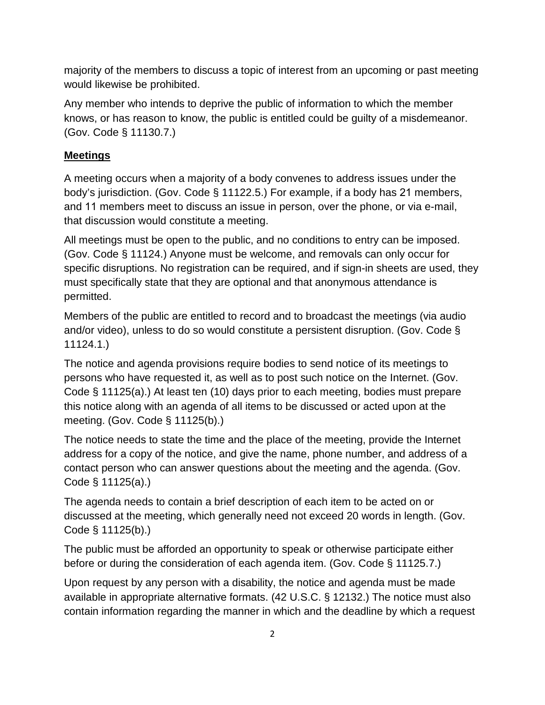majority of the members to discuss a topic of interest from an upcoming or past meeting would likewise be prohibited.

Any member who intends to deprive the public of information to which the member knows, or has reason to know, the public is entitled could be guilty of a misdemeanor. (Gov. Code § 11130.7.)

# **Meetings**

A meeting occurs when a majority of a body convenes to address issues under the body's jurisdiction. (Gov. Code § 11122.5.) For example, if a body has 21 members, and 11 members meet to discuss an issue in person, over the phone, or via e-mail, that discussion would constitute a meeting.

All meetings must be open to the public, and no conditions to entry can be imposed. (Gov. Code § 11124.) Anyone must be welcome, and removals can only occur for specific disruptions. No registration can be required, and if sign-in sheets are used, they must specifically state that they are optional and that anonymous attendance is permitted.

Members of the public are entitled to record and to broadcast the meetings (via audio and/or video), unless to do so would constitute a persistent disruption. (Gov. Code § 11124.1.)

The notice and agenda provisions require bodies to send notice of its meetings to persons who have requested it, as well as to post such notice on the Internet. (Gov. Code § 11125(a).) At least ten (10) days prior to each meeting, bodies must prepare this notice along with an agenda of all items to be discussed or acted upon at the meeting. (Gov. Code § 11125(b).)

The notice needs to state the time and the place of the meeting, provide the Internet address for a copy of the notice, and give the name, phone number, and address of a contact person who can answer questions about the meeting and the agenda. (Gov. Code § 11125(a).)

The agenda needs to contain a brief description of each item to be acted on or discussed at the meeting, which generally need not exceed 20 words in length. (Gov. Code § 11125(b).)

The public must be afforded an opportunity to speak or otherwise participate either before or during the consideration of each agenda item. (Gov. Code § 11125.7.)

Upon request by any person with a disability, the notice and agenda must be made available in appropriate alternative formats. (42 U.S.C. § 12132.) The notice must also contain information regarding the manner in which and the deadline by which a request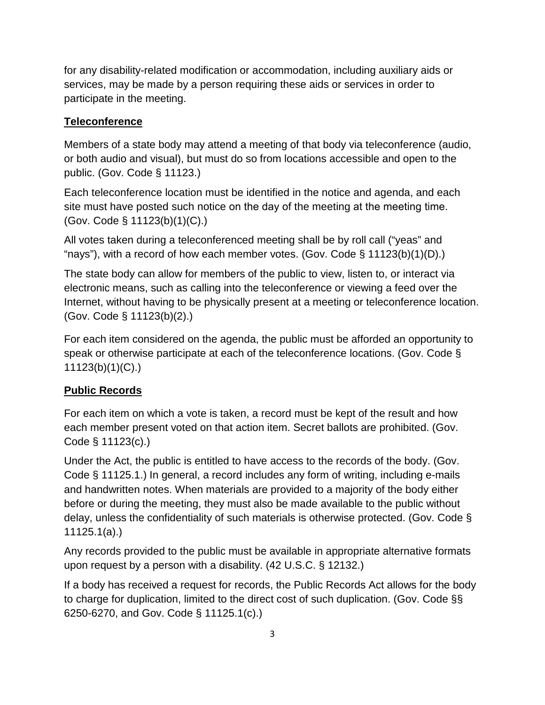for any disability-related modification or accommodation, including auxiliary aids or services, may be made by a person requiring these aids or services in order to participate in the meeting.

## **Teleconference**

Members of a state body may attend a meeting of that body via teleconference (audio, or both audio and visual), but must do so from locations accessible and open to the public. (Gov. Code § 11123.)

Each teleconference location must be identified in the notice and agenda, and each site must have posted such notice on the day of the meeting at the meeting time. (Gov. Code § 11123(b)(1)(C).)

All votes taken during a teleconferenced meeting shall be by roll call ("yeas" and "nays"), with a record of how each member votes. (Gov. Code  $\S$  11123(b)(1)(D).)

The state body can allow for members of the public to view, listen to, or interact via electronic means, such as calling into the teleconference or viewing a feed over the Internet, without having to be physically present at a meeting or teleconference location. (Gov. Code § 11123(b)(2).)

For each item considered on the agenda, the public must be afforded an opportunity to speak or otherwise participate at each of the teleconference locations. (Gov. Code § 11123(b)(1)(C).)

#### **Public Records**

For each item on which a vote is taken, a record must be kept of the result and how each member present voted on that action item. Secret ballots are prohibited. (Gov. Code § 11123(c).)

Under the Act, the public is entitled to have access to the records of the body. (Gov. Code § 11125.1.) In general, a record includes any form of writing, including e-mails and handwritten notes. When materials are provided to a majority of the body either before or during the meeting, they must also be made available to the public without delay, unless the confidentiality of such materials is otherwise protected. (Gov. Code § 11125.1(a).)

Any records provided to the public must be available in appropriate alternative formats upon request by a person with a disability. (42 U.S.C. § 12132.)

If a body has received a request for records, the Public Records Act allows for the body to charge for duplication, limited to the direct cost of such duplication. (Gov. Code §§ 6250-6270, and Gov. Code § 11125.1(c).)